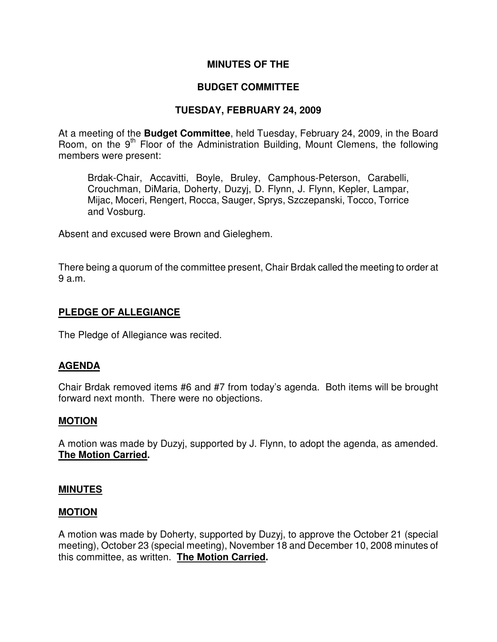### **MINUTES OF THE**

## **BUDGET COMMITTEE**

## **TUESDAY, FEBRUARY 24, 2009**

At a meeting of the **Budget Committee**, held Tuesday, February 24, 2009, in the Board Room, on the 9<sup>th</sup> Floor of the Administration Building, Mount Clemens, the following members were present:

Brdak-Chair, Accavitti, Boyle, Bruley, Camphous-Peterson, Carabelli, Crouchman, DiMaria, Doherty, Duzyj, D. Flynn, J. Flynn, Kepler, Lampar, Mijac, Moceri, Rengert, Rocca, Sauger, Sprys, Szczepanski, Tocco, Torrice and Vosburg.

Absent and excused were Brown and Gieleghem.

There being a quorum of the committee present, Chair Brdak called the meeting to order at 9 a.m.

### **PLEDGE OF ALLEGIANCE**

The Pledge of Allegiance was recited.

### **AGENDA**

Chair Brdak removed items #6 and #7 from today's agenda. Both items will be brought forward next month. There were no objections.

### **MOTION**

A motion was made by Duzyj, supported by J. Flynn, to adopt the agenda, as amended. **The Motion Carried.** 

#### **MINUTES**

#### **MOTION**

A motion was made by Doherty, supported by Duzyj, to approve the October 21 (special meeting), October 23 (special meeting), November 18 and December 10, 2008 minutes of this committee, as written. **The Motion Carried.**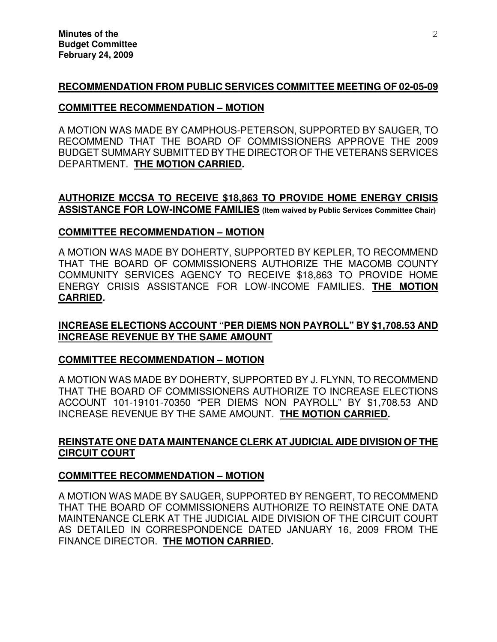# **RECOMMENDATION FROM PUBLIC SERVICES COMMITTEE MEETING OF 02-05-09**

#### **COMMITTEE RECOMMENDATION – MOTION**

A MOTION WAS MADE BY CAMPHOUS-PETERSON, SUPPORTED BY SAUGER, TO RECOMMEND THAT THE BOARD OF COMMISSIONERS APPROVE THE 2009 BUDGET SUMMARY SUBMITTED BY THE DIRECTOR OF THE VETERANS SERVICES DEPARTMENT. **THE MOTION CARRIED.** 

### **AUTHORIZE MCCSA TO RECEIVE \$18,863 TO PROVIDE HOME ENERGY CRISIS ASSISTANCE FOR LOW-INCOME FAMILIES (Item waived by Public Services Committee Chair)**

#### **COMMITTEE RECOMMENDATION – MOTION**

A MOTION WAS MADE BY DOHERTY, SUPPORTED BY KEPLER, TO RECOMMEND THAT THE BOARD OF COMMISSIONERS AUTHORIZE THE MACOMB COUNTY COMMUNITY SERVICES AGENCY TO RECEIVE \$18,863 TO PROVIDE HOME ENERGY CRISIS ASSISTANCE FOR LOW-INCOME FAMILIES. **THE MOTION CARRIED.** 

## **INCREASE ELECTIONS ACCOUNT "PER DIEMS NON PAYROLL" BY \$1,708.53 AND INCREASE REVENUE BY THE SAME AMOUNT**

### **COMMITTEE RECOMMENDATION – MOTION**

A MOTION WAS MADE BY DOHERTY, SUPPORTED BY J. FLYNN, TO RECOMMEND THAT THE BOARD OF COMMISSIONERS AUTHORIZE TO INCREASE ELECTIONS ACCOUNT 101-19101-70350 "PER DIEMS NON PAYROLL" BY \$1,708.53 AND INCREASE REVENUE BY THE SAME AMOUNT. **THE MOTION CARRIED.** 

## **REINSTATE ONE DATA MAINTENANCE CLERK AT JUDICIAL AIDE DIVISION OF THE CIRCUIT COURT**

### **COMMITTEE RECOMMENDATION – MOTION**

A MOTION WAS MADE BY SAUGER, SUPPORTED BY RENGERT, TO RECOMMEND THAT THE BOARD OF COMMISSIONERS AUTHORIZE TO REINSTATE ONE DATA MAINTENANCE CLERK AT THE JUDICIAL AIDE DIVISION OF THE CIRCUIT COURT AS DETAILED IN CORRESPONDENCE DATED JANUARY 16, 2009 FROM THE FINANCE DIRECTOR. **THE MOTION CARRIED.**